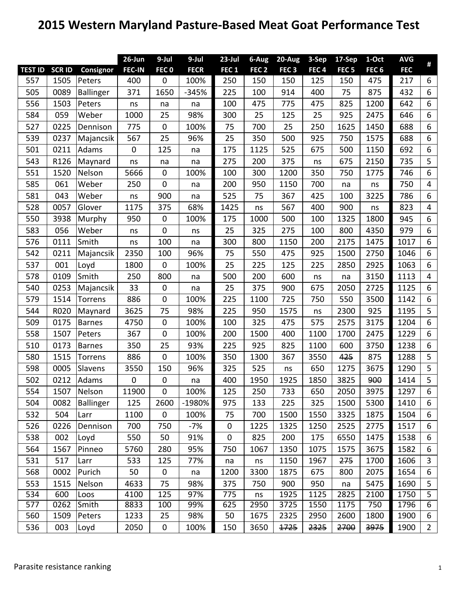## **2015 Western Maryland Pasture‐Based Meat Goat Performance Test**

|                |              |                  | 26-Jun           | $9$ -Jul         | 9-Jul       | $23$ -Jul        | 6-Aug            | $20 - Aug$       | 3-Sep            | $17-$ Sep        | 1-Oct            | <b>AVG</b> | #                       |
|----------------|--------------|------------------|------------------|------------------|-------------|------------------|------------------|------------------|------------------|------------------|------------------|------------|-------------------------|
| <b>TEST ID</b> | <b>SCRID</b> | Consignor        | <b>FEC-IN</b>    | FEC <sub>0</sub> | <b>FECR</b> | FEC <sub>1</sub> | FEC <sub>2</sub> | FEC <sub>3</sub> | FEC <sub>4</sub> | FEC <sub>5</sub> | FEC <sub>6</sub> | <b>FEC</b> |                         |
| 557            | 1505         | Peters           | 400              | 0                | 100%        | 250              | 150              | 150              | 125              | 150              | 475              | 217        | 6                       |
| 505            | 0089         | Ballinger        | 371              | 1650             | $-345%$     | 225              | 100              | 914              | 400              | 75               | 875              | 432        | 6                       |
| 556            | 1503         | Peters           | ns               | na               | na          | 100              | 475              | 775              | 475              | 825              | 1200             | 642        | 6                       |
| 584            | 059          | Weber            | 1000             | 25               | 98%         | 300              | 25               | 125              | 25               | 925              | 2475             | 646        | 6                       |
| 527            | 0225         | Dennison         | 775              | 0                | 100%        | 75               | 700              | 25               | 250              | 1625             | 1450             | 688        | 6                       |
| 539            | 0237         | Majancsik        | 567              | 25               | 96%         | 25               | 350              | 500              | 925              | 750              | 1575             | 688        | 6                       |
| 501            | 0211         | Adams            | $\mathbf 0$      | 125              | na          | 175              | 1125             | 525              | 675              | 500              | 1150             | 692        | 6                       |
| 543            | R126         | Maynard          | ns               | na               | na          | 275              | 200              | 375              | ns               | 675              | 2150             | 735        | 5                       |
| 551            | 1520         | Nelson           | 5666             | 0                | 100%        | 100              | 300              | 1200             | 350              | 750              | 1775             | 746        | 6                       |
| 585            | 061          | Weber            | 250              | 0                | na          | 200              | 950              | 1150             | 700              | na               | ns               | 750        | $\overline{4}$          |
| 581            | 043          | Weber            | ns               | 900              | na          | 525              | 75               | 367              | 425              | 100              | 3225             | 786        | 6                       |
| 528            | 0057         | Glover           | 1175             | 375              | 68%         | 1425             | ns               | 567              | 400              | 900              | ns               | 823        | $\overline{4}$          |
| 550            | 3938         | Murphy           | 950              | 0                | 100%        | 175              | 1000             | 500              | 100              | 1325             | 1800             | 945        | 6                       |
| 583            | 056          | Weber            | ns               | $\boldsymbol{0}$ | ns          | 25               | 325              | 275              | 100              | 800              | 4350             | 979        | 6                       |
| 576            | 0111         | Smith            | ns               | 100              | na          | 300              | 800              | 1150             | 200              | 2175             | 1475             | 1017       | 6                       |
| 542            | 0211         | Majancsik        | 2350             | 100              | 96%         | 75               | 550              | 475              | 925              | 1500             | 2750             | 1046       | 6                       |
| 537            | 001          | Loyd             | 1800             | 0                | 100%        | 25               | 225              | 125              | 225              | 2850             | 2925             | 1063       | 6                       |
| 578            | 0109         | Smith            | 250              | 800              | na          | 500              | 200              | 600              | ns               | na               | 3150             | 1113       | $\overline{\mathbf{4}}$ |
| 540            | 0253         | Majancsik        | 33               | 0                | na          | 25               | 375              | 900              | 675              | 2050             | 2725             | 1125       | 6                       |
| 579            | 1514         | Torrens          | 886              | 0                | 100%        | 225              | 1100             | 725              | 750              | 550              | 3500             | 1142       | 6                       |
| 544            | R020         | Maynard          | 3625             | 75               | 98%         | 225              | 950              | 1575             | ns               | 2300             | 925              | 1195       | 5                       |
| 509            | 0175         | <b>Barnes</b>    | 4750             | 0                | 100%        | 100              | 325              | 475              | 575              | 2575             | 3175             | 1204       | 6                       |
| 558            | 1507         | Peters           | 367              | 0                | 100%        | 200              | 1500             | 400              | 1100             | 1700             | 2475             | 1229       | 6                       |
| 510            | 0173         | Barnes           | 350              | 25               | 93%         | 225              | 925              | 825              | 1100             | 600              | 3750             | 1238       | 6                       |
| 580            | 1515         | Torrens          | 886              | 0                | 100%        | 350              | 1300             | 367              | 3550             | 425              | 875              | 1288       | 5                       |
| 598            | 0005         | Slavens          | 3550             | 150              | 96%         | 325              | 525              | ns               | 650              | 1275             | 3675             | 1290       | 5                       |
| 502            | 0212         | Adams            | $\boldsymbol{0}$ | 0                | na          | 400              | 1950             | 1925             | 1850             | 3825             | 900              | 1414       | 5                       |
| 554            | 1507         | Nelson           | 11900            | $\mathbf 0$      | 100%        | 125              | 250              | 733              | 650              | 2050             | 3975             | 1297       | 6                       |
| 504            | 0082         | <b>Ballinger</b> | 125              | 2600             | -1980%      | 975              | 133              | 225              | 325              | 1500             | 5300             | 1410       | 6                       |
| 532            | 504          | Larr             | 1100             | 0                | 100%        | 75               | 700              | 1500             | 1550             | 3325             | 1875             | 1504       | 6                       |
| 526            | 0226         | Dennison         | 700              | 750              | $-7%$       | $\pmb{0}$        | 1225             | 1325             | 1250             | 2525             | 2775             | 1517       | 6                       |
| 538            | 002          | Loyd             | 550              | 50               | 91%         | 0                | 825              | 200              | 175              | 6550             | 1475             | 1538       | 6                       |
| 564            | 1567         | Pinneo           | 5760             | 280              | 95%         | 750              | 1067             | 1350             | 1075             | 1575             | 3675             | 1582       | 6                       |
| 531            | 517          | Larr             | 533              | 125              | 77%         | na               | ns               | 1150             | 1967             | 275              | 1700             | 1606       | 3                       |
| 568            | 0002         | Purich           | 50               | 0                | na          | 1200             | 3300             | 1875             | 675              | 800              | 2075             | 1654       | 6                       |
| 553            | 1515         | Nelson           | 4633             | 75               | 98%         | 375              | 750              | 900              | 950              | na               | 5475             | 1690       | 5                       |
| 534            | 600          | Loos             | 4100             | 125              | 97%         | 775              | ns               | 1925             | 1125             | 2825             | 2100             | 1750       | $\overline{5}$          |
| 577            | 0262         | Smith            | 8833             | 100              | 99%         | 625              | 2950             | 3725             | 1550             | 1175             | 750              | 1796       | 6                       |
| 560            | 1509         | Peters           | 1233             | 25               | 98%         | 50               | 1675             | 2325             | 2950             | 2600             | 1800             | 1900       | 6                       |
| 536            | 003          | Loyd             | 2050             | 0                | 100%        | 150              | 3650             | 1725             | 2325             | 2700             | 3975             | 1900       | $2^{\circ}$             |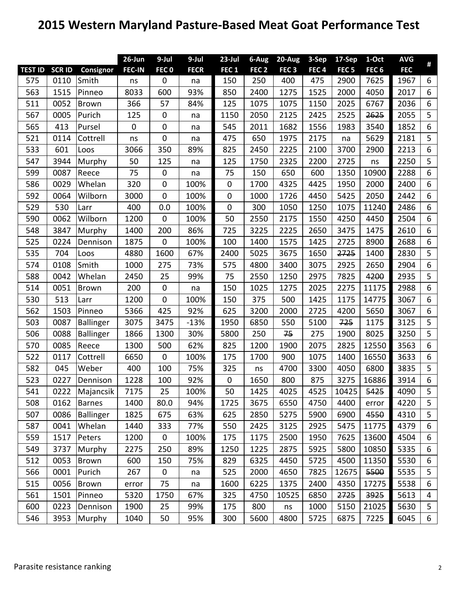## **2015 Western Maryland Pasture‐Based Meat Goat Performance Test**

|                |               |                  | 26-Jun        | $9$ -Jul         | $9-Jul$     | $23$ -Jul        | 6-Aug            | $20 - Aug$       | 3-Sep            | $17-$ Sep        | 1-Oct            | <b>AVG</b> | Ħ     |
|----------------|---------------|------------------|---------------|------------------|-------------|------------------|------------------|------------------|------------------|------------------|------------------|------------|-------|
| <b>TEST ID</b> | <b>SCR ID</b> | Consignor        | <b>FEC-IN</b> | FEC <sub>0</sub> | <b>FECR</b> | FEC <sub>1</sub> | FEC <sub>2</sub> | FEC <sub>3</sub> | FEC <sub>4</sub> | FEC <sub>5</sub> | FEC <sub>6</sub> | <b>FEC</b> |       |
| 575            | 0110          | Smith            | ns            | 0                | na          | 150              | 250              | 400              | 475              | 2900             | 7625             | 1967       | 6     |
| 563            | 1515          | Pinneo           | 8033          | 600              | 93%         | 850              | 2400             | 1275             | 1525             | 2000             | 4050             | 2017       | 6     |
| 511            | 0052          | Brown            | 366           | 57               | 84%         | 125              | 1075             | 1075             | 1150             | 2025             | 6767             | 2036       | 6     |
| 567            | 0005          | Purich           | 125           | 0                | na          | 1150             | 2050             | 2125             | 2425             | 2525             | 2625             | 2055       | 5     |
| 565            | 413           | Pursel           | $\mathbf 0$   | $\pmb{0}$        | na          | 545              | 2011             | 1682             | 1556             | 1983             | 3540             | 1852       | $6\,$ |
| 521            | 0114          | Cottrell         | ns            | 0                | na          | 475              | 650              | 1975             | 2175             | na               | 5629             | 2181       | 5     |
| 533            | 601           | Loos             | 3066          | 350              | 89%         | 825              | 2450             | 2225             | 2100             | 3700             | 2900             | 2213       | 6     |
| 547            | 3944          | Murphy           | 50            | 125              | na          | 125              | 1750             | 2325             | 2200             | 2725             | ns               | 2250       | 5     |
| 599            | 0087          | Reece            | 75            | $\pmb{0}$        | na          | 75               | 150              | 650              | 600              | 1350             | 10900            | 2288       | 6     |
| 586            | 0029          | Whelan           | 320           | $\pmb{0}$        | 100%        | $\pmb{0}$        | 1700             | 4325             | 4425             | 1950             | 2000             | 2400       | $6\,$ |
| 592            | 0064          | Wilborn          | 3000          | 0                | 100%        | 0                | 1000             | 1726             | 4450             | 5425             | 2050             | 2442       | $6\,$ |
| 529            | 530           | Larr             | 400           | 0.0              | 100%        | $\mathbf 0$      | 300              | 1050             | 1250             | 1075             | 11240            | 2486       | 6     |
| 590            | 0062          | Wilborn          | 1200          | 0                | 100%        | 50               | 2550             | 2175             | 1550             | 4250             | 4450             | 2504       | 6     |
| 548            | 3847          | Murphy           | 1400          | 200              | 86%         | 725              | 3225             | 2225             | 2650             | 3475             | 1475             | 2610       | 6     |
| 525            | 0224          | Dennison         | 1875          | $\pmb{0}$        | 100%        | 100              | 1400             | 1575             | 1425             | 2725             | 8900             | 2688       | 6     |
| 535            | 704           | Loos             | 4880          | 1600             | 67%         | 2400             | 5025             | 3675             | 1650             | 2725             | 1400             | 2830       | 5     |
| 574            | 0108          | Smith            | 1000          | 275              | 73%         | 575              | 4800             | 3400             | 3075             | 2925             | 2650             | 2904       | 6     |
| 588            | 0042          | Whelan           | 2450          | 25               | 99%         | 75               | 2550             | 1250             | 2975             | 7825             | 4200             | 2935       | 5     |
| 514            | 0051          | Brown            | 200           | $\pmb{0}$        | na          | 150              | 1025             | 1275             | 2025             | 2275             | 11175            | 2988       | 6     |
| 530            | 513           | Larr             | 1200          | 0                | 100%        | 150              | 375              | 500              | 1425             | 1175             | 14775            | 3067       | 6     |
| 562            | 1503          | Pinneo           | 5366          | 425              | 92%         | 625              | 3200             | 2000             | 2725             | 4200             | 5650             | 3067       | 6     |
| 503            | 0087          | Ballinger        | 3075          | 3475             | $-13%$      | 1950             | 6850             | 550              | 5100             | 725              | 1175             | 3125       | 5     |
| 506            | 0088          | Ballinger        | 1866          | 1300             | 30%         | 5800             | 250              | 75               | 275              | 1900             | 8025             | 3250       | 5     |
| 570            | 0085          | Reece            | 1300          | 500              | 62%         | 825              | 1200             | 1900             | 2075             | 2825             | 12550            | 3563       | $6\,$ |
| 522            | 0117          | Cottrell         | 6650          | 0                | 100%        | 175              | 1700             | 900              | 1075             | 1400             | 16550            | 3633       | 6     |
| 582            | 045           | Weber            | 400           | 100              | 75%         | 325              | ns               | 4700             | 3300             | 4050             | 6800             | 3835       | 5     |
| 523            | 0227          | Dennison         | 1228          | 100              | 92%         | $\boldsymbol{0}$ | 1650             | 800              | 875              | 3275             | 16886            | 3914       | 6     |
| 541            | 0222          | Majancsik        | 7175          | 25               | 100%        | 50               | 1425             | 4025             | 4525             | 10425            | 5425             | 4090       | 5     |
| 508            | 0162          | <b>Barnes</b>    | 1400          | 80.0             | 94%         | 1725             | 3675             | 6550             | 4750             | 4400             | error            | 4220       | 5     |
| 507            | 0086          | <b>Ballinger</b> | 1825          | 675              | 63%         | 625              | 2850             | 5275             | 5900             | 6900             | 4550             | 4310       | 5     |
| 587            | 0041          | Whelan           | 1440          | 333              | 77%         | 550              | 2425             | 3125             | 2925             | 5475             | 11775            | 4379       | 6     |
| 559            | 1517          | Peters           | 1200          | 0                | 100%        | 175              | 1175             | 2500             | 1950             | 7625             | 13600            | 4504       | 6     |
| 549            | 3737          | Murphy           | 2275          | 250              | 89%         | 1250             | 1225             | 2875             | 5925             | 5800             | 10850            | 5335       | 6     |
| 512            | 0053          | Brown            | 600           | 150              | 75%         | 829              | 6325             | 4450             | 5725             | 4500             | 11350            | 5530       | 6     |
| 566            | 0001          | Purich           | 267           | $\pmb{0}$        | na          | 525              | 2000             | 4650             | 7825             | 12675            | 5500             | 5535       | 5     |
| 515            | 0056          | <b>Brown</b>     | error         | 75               | na          | 1600             | 6225             | 1375             | 2400             | 4350             | 17275            | 5538       | 6     |
| 561            | 1501          | Pinneo           | 5320          | 1750             | 67%         | 325              | 4750             | 10525            | 6850             | 2725             | 3925             | 5613       | 4     |
| 600            | 0223          | Dennison         | 1900          | 25               | 99%         | 175              | 800              | ns               | 1000             | 5150             | 21025            | 5630       | 5     |
| 546            | 3953          | Murphy           | 1040          | 50               | 95%         | 300              | 5600             | 4800             | 5725             | 6875             | 7225             | 6045       | 6     |